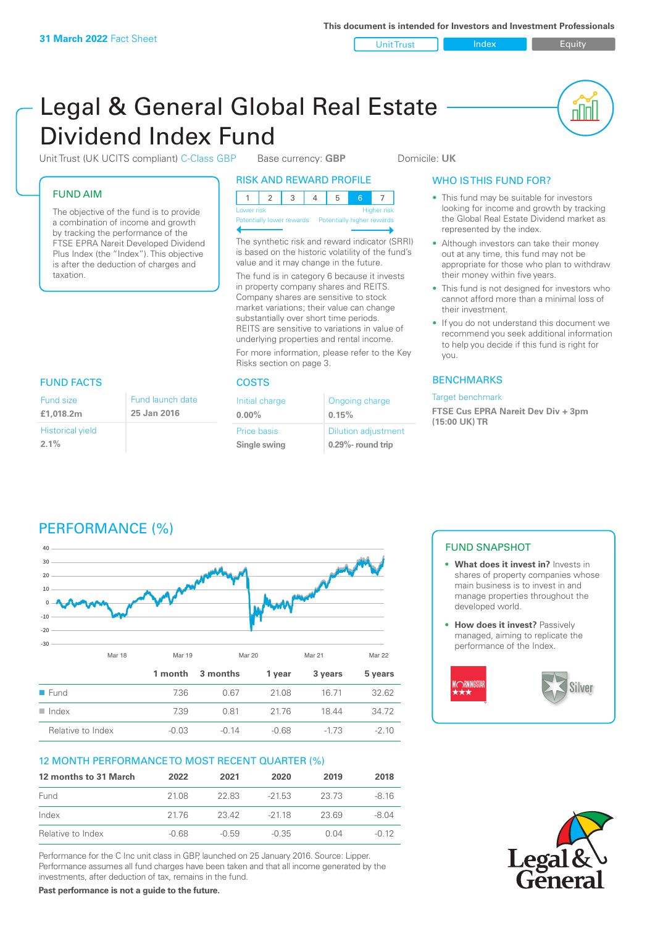Unit Trust Index Equity

ul U

# Legal & General Global Real Estate Dividend Index Fund

Unit Trust (UK UCITS compliant) C-Class GBP Base currency: GBP Domicile: UK

### FUND AIM

Fund size **£1,018.2m**

**2.1%**

Historical yield

The objective of the fund is to provide a combination of income and growth by tracking the performance of the FTSE EPRA Nareit Developed Dividend Plus Index (the "Index"). This objective is after the deduction of charges and taxation.

> Fund launch date **25 Jan 2016**

### RISK AND REWARD PROFILE

| Lower risk |  |  |  | <b>Higher risk</b> |
|------------|--|--|--|--------------------|

**Prially lower rewards** 

The synthetic risk and reward indicator (SRRI) is based on the historic volatility of the fund's value and it may change in the future. The fund is in category 6 because it invests in property company shares and REITS. Company shares are sensitive to stock market variations; their value can change substantially over short time periods.

REITS are sensitive to variations in value of underlying properties and rental income. For more information, please refer to the Key Risks section on page 3.

### FUND FACTS COSTS

| Initial charge | Ongoing charge             |
|----------------|----------------------------|
| $0.00\%$       | 0.15%                      |
| Price basis    | <b>Dilution adjustment</b> |
| Single swing   | $0.29\%$ - round trip      |

### WHO IS THIS FUND FOR?

- This fund may be suitable for investors looking for income and growth by tracking the Global Real Estate Dividend market as represented by the index.
- Although investors can take their money out at any time, this fund may not be appropriate for those who plan to withdraw their money within five years.
- This fund is not designed for investors who cannot afford more than a minimal loss of their investment.
- If you do not understand this document we recommend you seek additional information to help you decide if this fund is right for you.

### **BENCHMARKS**

Target benchmark

**FTSE Cus EPRA Nareit Dev Div + 3pm (15:00 UK) TR**

# PERFORMANCE (%)



### 12 MONTH PERFORMANCE TO MOST RECENT QUARTER (%)

| 12 months to 31 March | 2022    | 2021    | 2020     | 2019  | 2018    |
|-----------------------|---------|---------|----------|-------|---------|
| Fund                  | 21.08   | 22.83   | $-21.53$ | 23.73 | $-8.16$ |
| Index                 | 2176    | 23.42   | $-2118$  | 23.69 | -8.04   |
| Relative to Index     | $-0.68$ | $-0.59$ | $-0.35$  | 0.04  | $-0.12$ |

Performance for the C Inc unit class in GBP, launched on 25 January 2016. Source: Lipper. Performance assumes all fund charges have been taken and that all income generated by the investments, after deduction of tax, remains in the fund.

**Past performance is not a guide to the future.**

### FUND SNAPSHOT

- **• What does it invest in?** Invests in shares of property companies whose main business is to invest in and manage properties throughout the developed world.
- **• How does it invest?** Passively managed, aiming to replicate the performance of the Index.



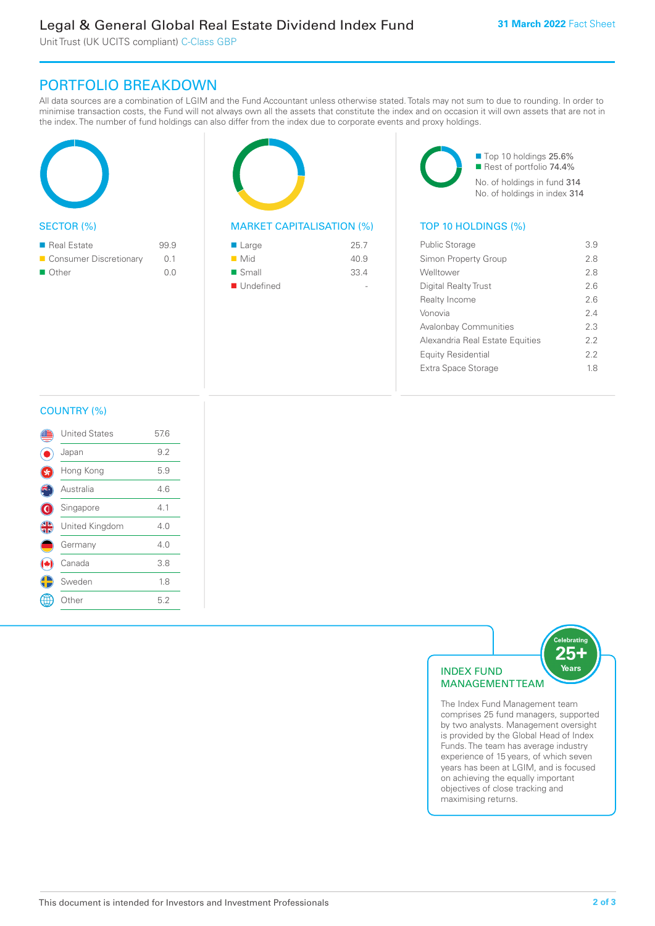Unit Trust (UK UCITS compliant) C-Class GBP

## PORTFOLIO BREAKDOWN

All data sources are a combination of LGIM and the Fund Accountant unless otherwise stated. Totals may not sum to due to rounding. In order to minimise transaction costs, the Fund will not always own all the assets that constitute the index and on occasion it will own assets that are not in the index. The number of fund holdings can also differ from the index due to corporate events and proxy holdings.

| <b>SECTOR (%)</b> |  |
|-------------------|--|

| $\blacksquare$ Real Estate | 99.9 |
|----------------------------|------|
| Consumer Discretionary     | 0.1  |
| $\blacksquare$ Other       | n n  |



### MARKET CAPITALISATION (%) TOP 10 HOLDINGS (%)

| ■ Large            | 25.7 |
|--------------------|------|
| $\blacksquare$ Mid | 40.9 |
| ■ Small            | 33.4 |
| ■ Undefined        |      |

■ Top 10 holdings 25.6% Rest of portfolio 74.4% No. of holdings in fund 314 No. of holdings in index 314

| <b>Public Storage</b>           | 39  |
|---------------------------------|-----|
| Simon Property Group            | 2.8 |
| Welltower                       | 2.8 |
| Digital Realty Trust            | 26  |
| <b>Realty Income</b>            | 2.6 |
| Vonovia                         | 24  |
| <b>Avalonbay Communities</b>    | 23  |
| Alexandria Real Estate Equities | 22  |
| <b>Equity Residential</b>       | 22  |
| Extra Space Storage             | 18  |
|                                 |     |

### COUNTRY (%)

|               | <b>United States</b> | 57.6 |  |
|---------------|----------------------|------|--|
|               | Japan                | 9.2  |  |
|               | Hong Kong            | 5.9  |  |
|               | Australia            | 4.6  |  |
| G             | Singapore            | 4.1  |  |
| $\frac{4}{5}$ | United Kingdom       | 4.0  |  |
|               | Germany              | 4.0  |  |
|               | Canada               | 3.8  |  |
|               | Sweden               | 1.8  |  |
|               | Other                | 5.2  |  |
|               |                      |      |  |



The Index Fund Management team comprises 25 fund managers, supported by two analysts. Management oversight is provided by the Global Head of Index Funds. The team has average industry experience of 15 years, of which seven years has been at LGIM, and is focused on achieving the equally important objectives of close tracking and maximising returns.